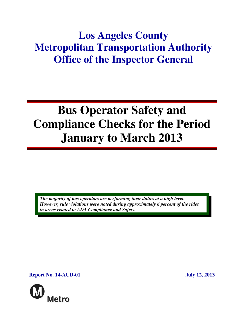## **Los Angeles County Metropolitan Transportation Authority Office of the Inspector General**

# **Bus Operator Safety and Compliance Checks for the Period January to March 2013**

*The majority of bus operators are performing their duties at a high level. However, rule violations were noted during approximately 6 percent of the rides in areas related to ADA Compliance and Safety.* 

**Report No. 14-AUD-01** July 12, 2013

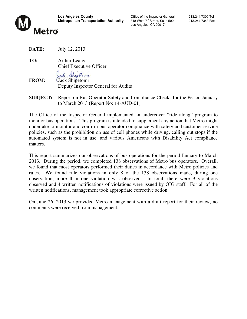

Los Angeles, CA 90017

**DATE:** July 12, 2013

**TO:** Arthur Leahy Chief Executive Officer

Jack Shigetoni

- **FROM:** Jack Shigetomi Deputy Inspector General for Audits
- **SUBJECT:** Report on Bus Operator Safety and Compliance Checks for the Period January to March 2013 (Report No: 14-AUD-01)

The Office of the Inspector General implemented an undercover "ride along" program to monitor bus operations. This program is intended to supplement any action that Metro might undertake to monitor and confirm bus operator compliance with safety and customer service policies, such as the prohibition on use of cell phones while driving, calling out stops if the automated system is not in use, and various Americans with Disability Act compliance matters.

This report summarizes our observations of bus operations for the period January to March 2013. During the period, we completed 138 observations of Metro bus operators. Overall, we found that most operators performed their duties in accordance with Metro policies and rules. We found rule violations in only 8 of the 138 observations made, during one observation, more than one violation was observed. In total, there were 9 violations observed and 4 written notifications of violations were issued by OIG staff. For all of the written notifications, management took appropriate corrective action.

On June 26, 2013 we provided Metro management with a draft report for their review; no comments were received from management.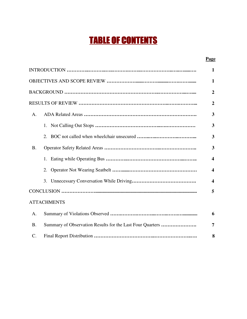## TABLE OF CONTENTS

#### **Page**

|                 |                                                           | $\mathbf{1}$            |
|-----------------|-----------------------------------------------------------|-------------------------|
|                 |                                                           | $\mathbf{1}$            |
|                 |                                                           | $\overline{2}$          |
|                 |                                                           | $\overline{2}$          |
| A.              |                                                           | $\overline{\mathbf{3}}$ |
|                 | 1.                                                        | $\overline{\mathbf{3}}$ |
|                 | 2.                                                        | 3                       |
| <b>B.</b>       |                                                           | $\overline{\mathbf{3}}$ |
|                 |                                                           | $\overline{\mathbf{4}}$ |
|                 | 2.                                                        | $\overline{\mathbf{4}}$ |
|                 | 3.                                                        | $\overline{\mathbf{4}}$ |
|                 |                                                           | 5                       |
|                 | <b>ATTACHMENTS</b>                                        |                         |
| A.              |                                                           | 6                       |
| <b>B.</b>       | Summary of Observation Results for the Last Four Quarters | 7                       |
| $\mathcal{C}$ . |                                                           | 8                       |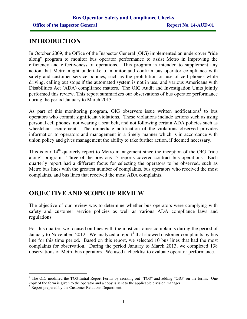### **INTRODUCTION**

In October 2009, the Office of the Inspector General (OIG) implemented an undercover "ride along" program to monitor bus operator performance to assist Metro in improving the efficiency and effectiveness of operations. This program is intended to supplement any action that Metro might undertake to monitor and confirm bus operator compliance with safety and customer service policies, such as the prohibition on use of cell phones while driving, calling out stops if the automated system is not in use, and various Americans with Disabilities Act (ADA) compliance matters. The OIG Audit and Investigation Units jointly performed this review. This report summarizes our observations of bus operator performance during the period January to March 2013.

As part of this monitoring program, OIG observers issue written notifications<sup>1</sup> to bus operators who commit significant violations. These violations include actions such as using personal cell phones, not wearing a seat belt, and not following certain ADA policies such as wheelchair securement. The immediate notification of the violations observed provides information to operators and management in a timely manner which is in accordance with union policy and gives management the ability to take further action, if deemed necessary.

This is our 14<sup>th</sup> quarterly report to Metro management since the inception of the OIG "ride" along" program. Three of the previous 13 reports covered contract bus operations. Each quarterly report had a different focus for selecting the operators to be observed, such as Metro bus lines with the greatest number of complaints, bus operators who received the most complaints, and bus lines that received the most ADA complaints.

## **OBJECTIVE AND SCOPE OF REVIEW**

The objective of our review was to determine whether bus operators were complying with safety and customer service policies as well as various ADA compliance laws and regulations.

For this quarter, we focused on lines with the most customer complaints during the period of January to November 2012. We analyzed a report<sup>2</sup> that showed customer complaints by bus line for this time period. Based on this report, we selected 10 bus lines that had the most complaints for observation. During the period January to March 2013, we completed 138 observations of Metro bus operators. We used a checklist to evaluate operator performance.

<sup>&</sup>lt;sup>1</sup> The OIG modified the TOS Initial Report Forms by crossing out "TOS" and adding "OIG" on the forms. One copy of the form is given to the operator and a copy is sent to the applicable division manager.

<sup>&</sup>lt;sup>2</sup> Report prepared by the Customer Relations Department.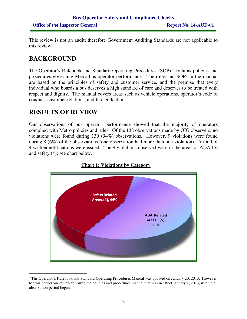This review is not an audit; therefore Government Auditing Standards are not applicable to this review.

## **BACKGROUND**

The Operator's Rulebook and Standard Operating Procedures (SOP)<sup>3</sup> contains policies and procedures governing Metro bus operator performance. The rules and SOPs in the manual are based on the principles of safety and customer service, and the premise that every individual who boards a bus deserves a high standard of care and deserves to be treated with respect and dignity. The manual covers areas such as vehicle operations, operator's code of conduct, customer relations, and fare collection.

## **RESULTS OF REVIEW**

 $\overline{a}$ 

Our observations of bus operator performance showed that the majority of operators complied with Metro policies and rules. Of the 138 observations made by OIG observers, no violations were found during 130 (94%) observations. However, 9 violations were found during 8 (6%) of the observations (one observation had more than one violation). A total of 4 written notifications were issued. The 9 violations observed were in the areas of ADA (5) and safety (4); see chart below.



#### **Chart 1: Violations by Category**

<sup>&</sup>lt;sup>3</sup> The Operator's Rulebook and Standard Operating Procedures Manual was updated on January 20, 2013. However, for this period our review followed the policies and procedures manual that was in effect January 1, 2013, when the observation period began.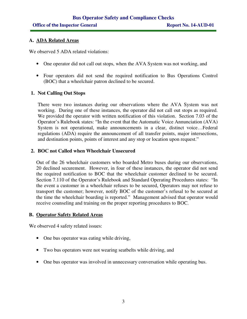#### **A. ADA Related Areas**

We observed 5 ADA related violations:

- One operator did not call out stops, when the AVA System was not working, and
- Four operators did not send the required notification to Bus Operations Control (BOC) that a wheelchair patron declined to be secured.

#### **1. Not Calling Out Stops**

There were two instances during our observations where the AVA System was not working. During one of these instances, the operator did not call out stops as required. We provided the operator with written notification of this violation. Section 7.03 of the Operator's Rulebook states: "In the event that the Automatic Voice Annunciation (AVA) System is not operational, make announcements in a clear, distinct voice…Federal regulations (ADA) require the announcement of all transfer points, major intersections, and destination points, points of interest and any stop or location upon request."

#### **2. BOC not Called when Wheelchair Unsecured**

Out of the 26 wheelchair customers who boarded Metro buses during our observations, 20 declined securement. However, in four of these instances, the operator did not send the required notification to BOC that the wheelchair customer declined to be secured. Section 7.110 of the Operator's Rulebook and Standard Operating Procedures states: "In the event a customer in a wheelchair refuses to be secured, Operators may not refuse to transport the customer; however, notify BOC of the customer's refusal to be secured at the time the wheelchair boarding is reported." Management advised that operator would receive counseling and training on the proper reporting procedures to BOC.

#### **B. Operator Safety Related Areas**

We observed 4 safety related issues:

- One bus operator was eating while driving,
- Two bus operators were not wearing seatbelts while driving, and
- One bus operator was involved in unnecessary conversation while operating bus.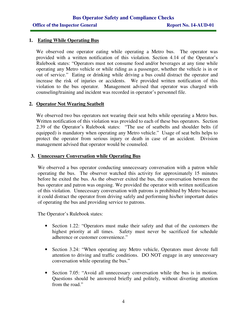#### **1. Eating While Operating Bus**

We observed one operator eating while operating a Metro bus. The operator was provided with a written notification of this violation. Section 4.14 of the Operator's Rulebook states: "Operators must not consume food and/or beverages at any time while operating any Metro vehicle or while riding as a passenger, whether the vehicle is in or out of service." Eating or drinking while driving a bus could distract the operator and increase the risk of injuries or accidents. We provided written notification of this violation to the bus operator. Management advised that operator was charged with counseling/training and incident was recorded in operator's personnel file.

#### **2. Operator Not Wearing Seatbelt**

We observed two bus operators not wearing their seat belts while operating a Metro bus. Written notification of this violation was provided to each of these bus operators. Section 2.39 of the Operator's Rulebook states: "The use of seatbelts and shoulder belts (if equipped) is mandatory when operating any Metro vehicle." Usage of seat belts helps to protect the operator from serious injury or death in case of an accident. Division management advised that operator would be counseled.

#### **3. Unnecessary Conversation while Operating Bus**

We observed a bus operator conducting unnecessary conversation with a patron while operating the bus. The observer watched this activity for approximately 15 minutes before he exited the bus. As the observer exited the bus, the conversation between the bus operator and patron was ongoing. We provided the operator with written notification of this violation. Unnecessary conversation with patrons is prohibited by Metro because it could distract the operator from driving safely and performing his/her important duties of operating the bus and providing service to patrons.

The Operator's Rulebook states:

- Section 1.22: "Operators must make their safety and that of the customers the highest priority at all times. Safety must never be sacrificed for schedule adherence or customer convenience."
- Section 3.24: "When operating any Metro vehicle, Operators must devote full attention to driving and traffic conditions. DO NOT engage in any unnecessary conversation while operating the bus."
- Section 7.05: "Avoid all unnecessary conversation while the bus is in motion. Questions should be answered briefly and politely, without diverting attention from the road."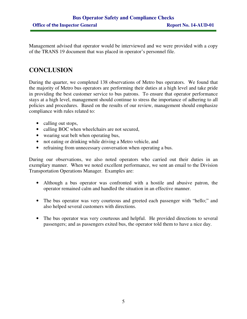Management advised that operator would be interviewed and we were provided with a copy of the TRANS 19 document that was placed in operator's personnel file.

## **CONCLUSION**

During the quarter, we completed 138 observations of Metro bus operators. We found that the majority of Metro bus operators are performing their duties at a high level and take pride in providing the best customer service to bus patrons. To ensure that operator performance stays at a high level, management should continue to stress the importance of adhering to all policies and procedures. Based on the results of our review, management should emphasize compliance with rules related to:

- calling out stops,
- calling BOC when wheelchairs are not secured,
- wearing seat belt when operating bus,
- not eating or drinking while driving a Metro vehicle, and
- refraining from unnecessary conversation when operating a bus.

During our observations, we also noted operators who carried out their duties in an exemplary manner. When we noted excellent performance, we sent an email to the Division Transportation Operations Manager. Examples are:

- Although a bus operator was confronted with a hostile and abusive patron, the operator remained calm and handled the situation in an effective manner.
- The bus operator was very courteous and greeted each passenger with "hello;" and also helped several customers with directions.
- The bus operator was very courteous and helpful. He provided directions to several passengers; and as passengers exited bus, the operator told them to have a nice day.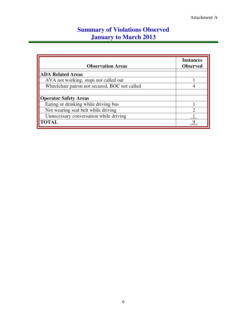## **Summary of Violations Observed January to March 2013**

| <b>Observation Areas</b>                      | <b>Instances</b><br><b>Observed</b> |
|-----------------------------------------------|-------------------------------------|
| <b>ADA Related Areas</b>                      |                                     |
| AVA not working, stops not called out         |                                     |
| Wheelchair patron not secured, BOC not called |                                     |
|                                               |                                     |
| <b>Operator Safety Areas</b>                  |                                     |
| Eating or drinking while driving bus          |                                     |
| Not wearing seat belt while driving           | っ                                   |
| Unnecessary conversation while driving        |                                     |
| <b>TOTAL</b>                                  |                                     |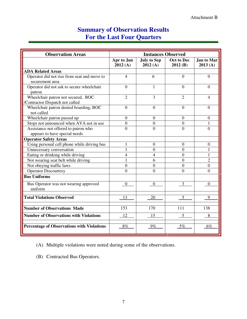## **Summary of Observation Results For the Last Four Quarters**

| <b>Observation Areas</b>                                              | <b>Instances Observed</b> |                               |                              |                       |
|-----------------------------------------------------------------------|---------------------------|-------------------------------|------------------------------|-----------------------|
|                                                                       | Apr to Jun<br>2012(A)     | <b>July to Sep</b><br>2012(A) | <b>Oct to Dec</b><br>2012(B) | Jan to Mar<br>2013(A) |
| <b>ADA Related Areas</b>                                              |                           |                               |                              |                       |
| Operator did not rise from seat and move to<br>securement area        | $\overline{4}$            | 6                             | $\Omega$                     | $\theta$              |
| Operator did not ask to secure wheelchair<br>patron                   | $\Omega$                  | 1                             | $\Omega$                     | $\Omega$              |
| Wheelchair patron not secured, BOC<br>/Contractor Dispatch not called | $\overline{2}$            | 3                             | $\overline{2}$               | 4                     |
| Wheelchair patron denied boarding, BOC<br>not called                  | $\boldsymbol{0}$          | $\overline{0}$                | $\overline{0}$               | $\theta$              |
| Wheelchair patron passed up                                           | $\overline{0}$            | $\theta$                      | $\overline{0}$               | $\overline{0}$        |
| Stops not announced when AVA not in use                               | $\overline{0}$            | $\overline{0}$                | $\overline{0}$               | 1                     |
| Assistance not offered to patron who                                  | $\overline{0}$            | $\theta$                      | $\theta$                     | $\overline{0}$        |
| appears to have special needs                                         |                           |                               |                              |                       |
| <b>Operator Safety Areas</b>                                          |                           |                               |                              |                       |
| Using personal cell phone while driving bus                           | 1                         | $\overline{0}$                | $\overline{0}$               | $\theta$              |
| Unnecessary conversation                                              | 1                         | $\overline{0}$                | $\overline{0}$               | 1                     |
| Eating or drinking while driving                                      | $\overline{4}$            | 4                             | $\overline{0}$               | 1                     |
| Not wearing seat belt while driving                                   | 1                         | 6                             | $\overline{0}$               | $\overline{2}$        |
| Not obeying traffic laws                                              | $\overline{0}$            | $\overline{0}$                | $\overline{0}$               | $\overline{0}$        |
| <b>Operator Discourtesy</b>                                           | $\theta$                  | $\theta$                      | $\theta$                     | $\theta$              |
| <b>Bus Uniforms</b>                                                   |                           |                               |                              |                       |
| Bus Operator was not wearing approved<br>uniform                      | $\overline{0}$            | $\overline{0}$                | 3                            | $\overline{0}$        |
| <b>Total Violations Observed</b>                                      | 13                        | 20                            |                              | 9                     |
| <b>Number of Observations Made</b>                                    | 153                       | 170                           | 111                          | 138                   |
| <b>Number of Observations with Violations</b>                         | 12                        | 15                            | 5                            | 8                     |
| <b>Percentage of Observations with Violations</b>                     | $8\%$                     | $9\%$                         | $5\%$                        | $6\%$                 |

(A) Multiple violations were noted during some of the observations.

(B) Contracted Bus Operators.